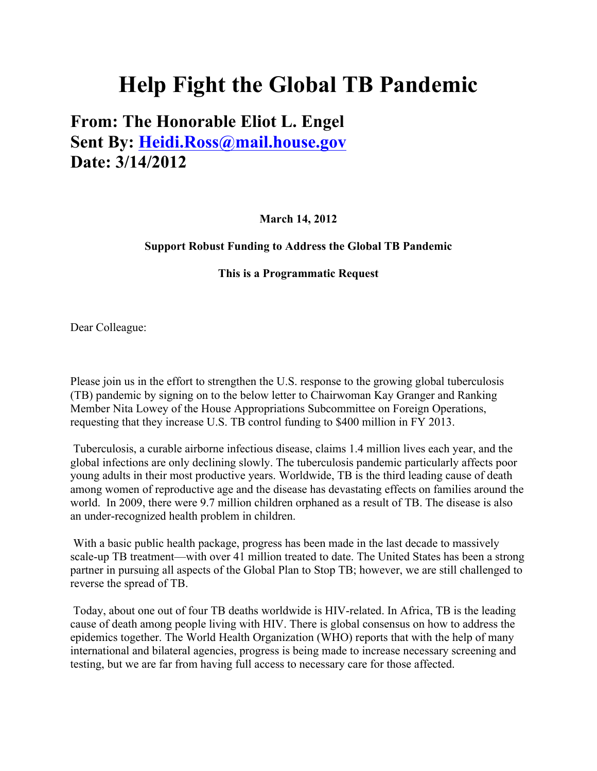## **Help Fight the Global TB Pandemic**

**From: The Honorable Eliot L. Engel Sent By: Heidi.Ross@mail.house.gov Date: 3/14/2012**

**March 14, 2012**

## **Support Robust Funding to Address the Global TB Pandemic**

## **This is a Programmatic Request**

Dear Colleague:

Please join us in the effort to strengthen the U.S. response to the growing global tuberculosis (TB) pandemic by signing on to the below letter to Chairwoman Kay Granger and Ranking Member Nita Lowey of the House Appropriations Subcommittee on Foreign Operations, requesting that they increase U.S. TB control funding to \$400 million in FY 2013.

Tuberculosis, a curable airborne infectious disease, claims 1.4 million lives each year, and the global infections are only declining slowly. The tuberculosis pandemic particularly affects poor young adults in their most productive years. Worldwide, TB is the third leading cause of death among women of reproductive age and the disease has devastating effects on families around the world. In 2009, there were 9.7 million children orphaned as a result of TB. The disease is also an under-recognized health problem in children.

With a basic public health package, progress has been made in the last decade to massively scale-up TB treatment—with over 41 million treated to date. The United States has been a strong partner in pursuing all aspects of the Global Plan to Stop TB; however, we are still challenged to reverse the spread of TB.

Today, about one out of four TB deaths worldwide is HIV-related. In Africa, TB is the leading cause of death among people living with HIV. There is global consensus on how to address the epidemics together. The World Health Organization (WHO) reports that with the help of many international and bilateral agencies, progress is being made to increase necessary screening and testing, but we are far from having full access to necessary care for those affected.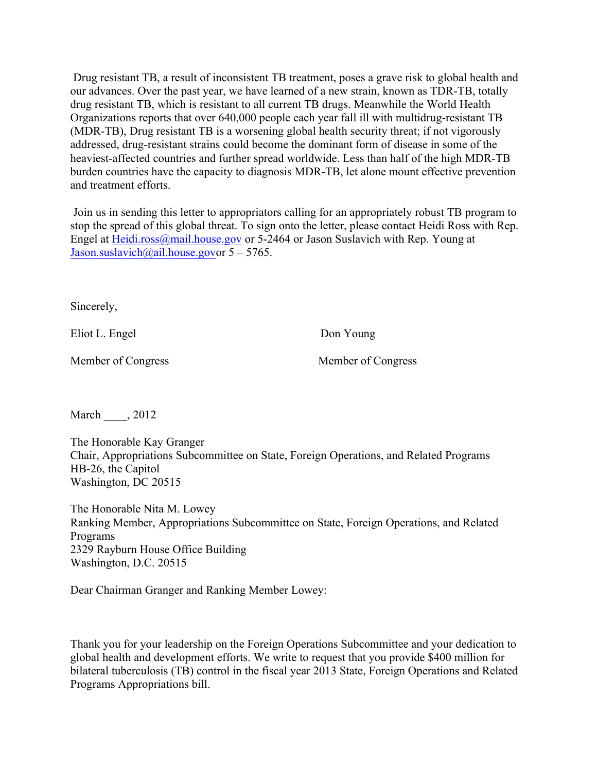Drug resistant TB, a result of inconsistent TB treatment, poses a grave risk to global health and our advances. Over the past year, we have learned of a new strain, known as TDR-TB, totally drug resistant TB, which is resistant to all current TB drugs. Meanwhile the World Health Organizations reports that over 640,000 people each year fall ill with multidrug-resistant TB (MDR-TB), Drug resistant TB is a worsening global health security threat; if not vigorously addressed, drug-resistant strains could become the dominant form of disease in some of the heaviest-affected countries and further spread worldwide. Less than half of the high MDR-TB burden countries have the capacity to diagnosis MDR-TB, let alone mount effective prevention and treatment efforts.

Join us in sending this letter to appropriators calling for an appropriately robust TB program to stop the spread of this global threat. To sign onto the letter, please contact Heidi Ross with Rep. Engel at Heidi.ross@mail.house.gov or 5-2464 or Jason Suslavich with Rep. Young at Jason.suslavich@ail.house.govor  $5 - 5765$ .

Sincerely,

Eliot L. Engel Don Young

Member of Congress Member of Congress

March , 2012

The Honorable Kay Granger Chair, Appropriations Subcommittee on State, Foreign Operations, and Related Programs HB-26, the Capitol Washington, DC 20515

The Honorable Nita M. Lowey Ranking Member, Appropriations Subcommittee on State, Foreign Operations, and Related Programs 2329 Rayburn House Office Building Washington, D.C. 20515

Dear Chairman Granger and Ranking Member Lowey:

Thank you for your leadership on the Foreign Operations Subcommittee and your dedication to global health and development efforts. We write to request that you provide \$400 million for bilateral tuberculosis (TB) control in the fiscal year 2013 State, Foreign Operations and Related Programs Appropriations bill.